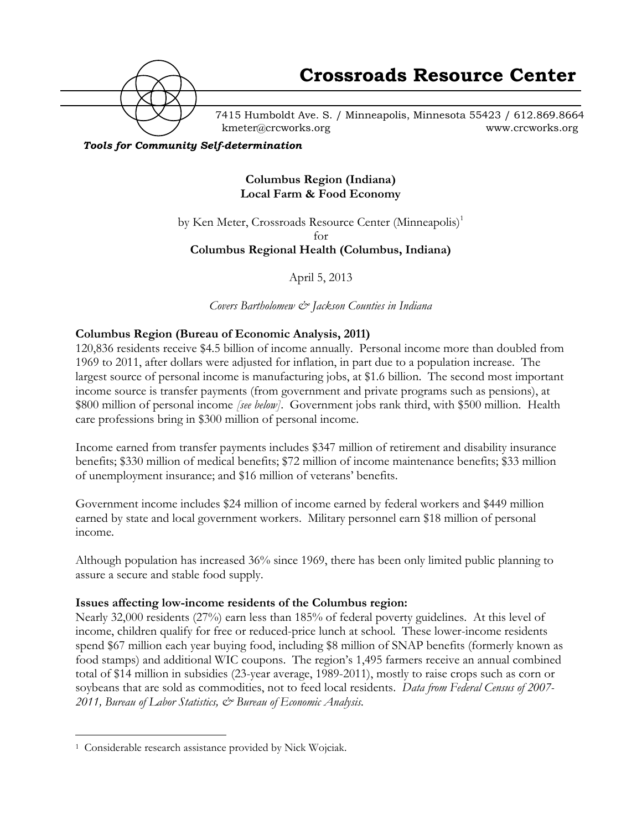

7415 Humboldt Ave. S. / Minneapolis, Minnesota 55423 / 612.869.8664 kmeter@crcworks.org www.crcworks.org

#### *Tools for Community Self-determination*

#### **Columbus Region (Indiana) Local Farm & Food Economy**

by Ken Meter, Crossroads Resource Center (Minneapolis)<sup>1</sup>  $f_{\Omega}r$ **Columbus Regional Health (Columbus, Indiana)**

April 5, 2013

*Covers Bartholomew & Jackson Counties in Indiana*

#### **Columbus Region (Bureau of Economic Analysis, 2011)**

120,836 residents receive \$4.5 billion of income annually. Personal income more than doubled from 1969 to 2011, after dollars were adjusted for inflation, in part due to a population increase. The largest source of personal income is manufacturing jobs, at \$1.6 billion. The second most important income source is transfer payments (from government and private programs such as pensions), at \$800 million of personal income *[see below]*. Government jobs rank third, with \$500 million. Health care professions bring in \$300 million of personal income.

Income earned from transfer payments includes \$347 million of retirement and disability insurance benefits; \$330 million of medical benefits; \$72 million of income maintenance benefits; \$33 million of unemployment insurance; and \$16 million of veterans' benefits.

Government income includes \$24 million of income earned by federal workers and \$449 million earned by state and local government workers. Military personnel earn \$18 million of personal income.

Although population has increased 36% since 1969, there has been only limited public planning to assure a secure and stable food supply.

#### **Issues affecting low-income residents of the Columbus region:**

Nearly 32,000 residents (27%) earn less than 185% of federal poverty guidelines. At this level of income, children qualify for free or reduced-price lunch at school. These lower-income residents spend \$67 million each year buying food, including \$8 million of SNAP benefits (formerly known as food stamps) and additional WIC coupons. The region's 1,495 farmers receive an annual combined total of \$14 million in subsidies (23-year average, 1989-2011), mostly to raise crops such as corn or soybeans that are sold as commodities, not to feed local residents. *Data from Federal Census of 2007- 2011, Bureau of Labor Statistics, & Bureau of Economic Analysis.*

 <sup>1</sup> Considerable research assistance provided by Nick Wojciak.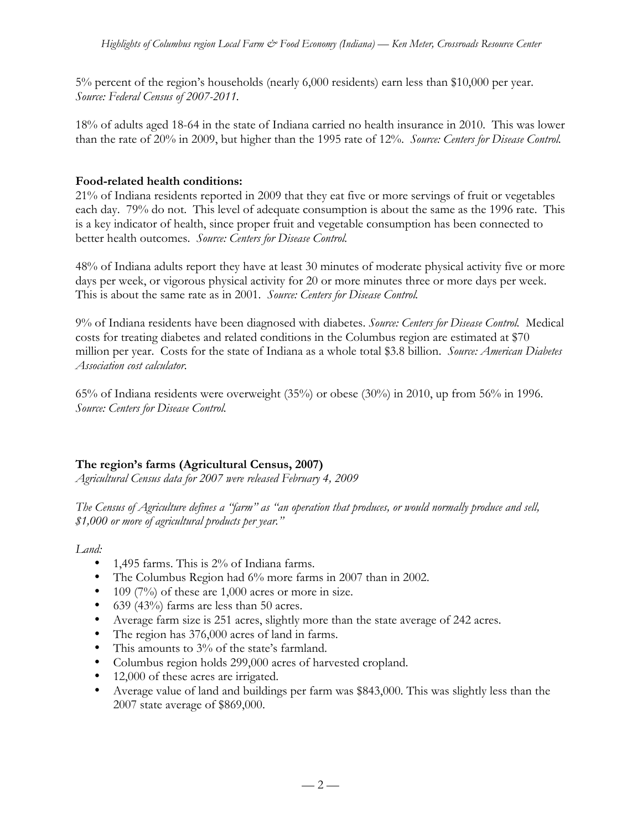5% percent of the region's households (nearly 6,000 residents) earn less than \$10,000 per year. *Source: Federal Census of 2007-2011.*

18% of adults aged 18-64 in the state of Indiana carried no health insurance in 2010. This was lower than the rate of 20% in 2009, but higher than the 1995 rate of 12%. *Source: Centers for Disease Control.*

## **Food-related health conditions:**

21% of Indiana residents reported in 2009 that they eat five or more servings of fruit or vegetables each day. 79% do not. This level of adequate consumption is about the same as the 1996 rate. This is a key indicator of health, since proper fruit and vegetable consumption has been connected to better health outcomes. *Source: Centers for Disease Control.*

48% of Indiana adults report they have at least 30 minutes of moderate physical activity five or more days per week, or vigorous physical activity for 20 or more minutes three or more days per week. This is about the same rate as in 2001. *Source: Centers for Disease Control.*

9% of Indiana residents have been diagnosed with diabetes. *Source: Centers for Disease Control.* Medical costs for treating diabetes and related conditions in the Columbus region are estimated at \$70 million per year. Costs for the state of Indiana as a whole total \$3.8 billion. *Source: American Diabetes Association cost calculator.*

65% of Indiana residents were overweight (35%) or obese (30%) in 2010, up from 56% in 1996. *Source: Centers for Disease Control.*

# **The region's farms (Agricultural Census, 2007)**

*Agricultural Census data for 2007 were released February 4, 2009*

*The Census of Agriculture defines a "farm" as "an operation that produces, or would normally produce and sell, \$1,000 or more of agricultural products per year."*

*Land:*

- 1,495 farms. This is 2% of Indiana farms.
- The Columbus Region had 6% more farms in 2007 than in 2002.
- 109 (7%) of these are  $1,000$  acres or more in size.
- 639 (43%) farms are less than 50 acres.
- Average farm size is 251 acres, slightly more than the state average of 242 acres.
- The region has 376,000 acres of land in farms.
- This amounts to 3% of the state's farmland.
- Columbus region holds 299,000 acres of harvested cropland.
- 12,000 of these acres are irrigated.
- Average value of land and buildings per farm was \$843,000. This was slightly less than the 2007 state average of \$869,000.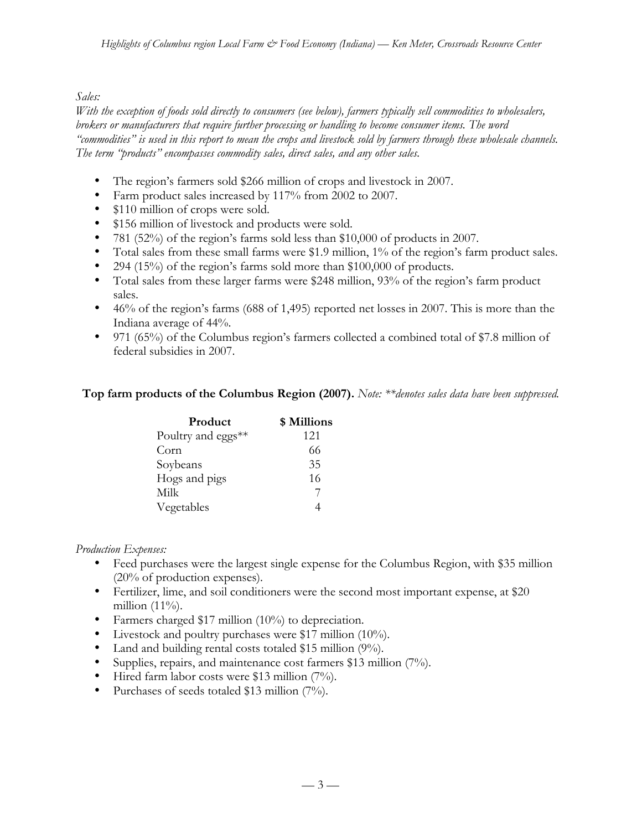### *Sales:*

*With the exception of foods sold directly to consumers (see below), farmers typically sell commodities to wholesalers, brokers or manufacturers that require further processing or handling to become consumer items. The word "commodities" is used in this report to mean the crops and livestock sold by farmers through these wholesale channels. The term "products" encompasses commodity sales, direct sales, and any other sales.*

- The region's farmers sold \$266 million of crops and livestock in 2007.
- Farm product sales increased by 117% from 2002 to 2007.
- \$110 million of crops were sold.
- \$156 million of livestock and products were sold.
- 781 (52%) of the region's farms sold less than \$10,000 of products in 2007.
- Total sales from these small farms were \$1.9 million, 1% of the region's farm product sales.
- 294 (15%) of the region's farms sold more than \$100,000 of products.
- Total sales from these larger farms were \$248 million, 93% of the region's farm product sales.
- 46% of the region's farms (688 of 1,495) reported net losses in 2007. This is more than the Indiana average of 44%.
- 971 (65%) of the Columbus region's farmers collected a combined total of \$7.8 million of federal subsidies in 2007.

#### **Top farm products of the Columbus Region (2007).** *Note: \*\*denotes sales data have been suppressed.*

| Product            | \$ Millions |
|--------------------|-------------|
| Poultry and eggs** | 121         |
| Corn               | 66          |
| Soybeans           | 35          |
| Hogs and pigs      | 16          |
| Milk               |             |
| Vegetables         |             |

#### *Production Expenses:*

- Feed purchases were the largest single expense for the Columbus Region, with \$35 million (20% of production expenses).
- Fertilizer, lime, and soil conditioners were the second most important expense, at \$20 million  $(11\%)$ .
- Farmers charged \$17 million (10%) to depreciation.
- Livestock and poultry purchases were \$17 million (10%).
- Land and building rental costs totaled \$15 million (9%).
- Supplies, repairs, and maintenance cost farmers \$13 million (7%).
- Hired farm labor costs were \$13 million (7%).
- Purchases of seeds totaled \$13 million (7%).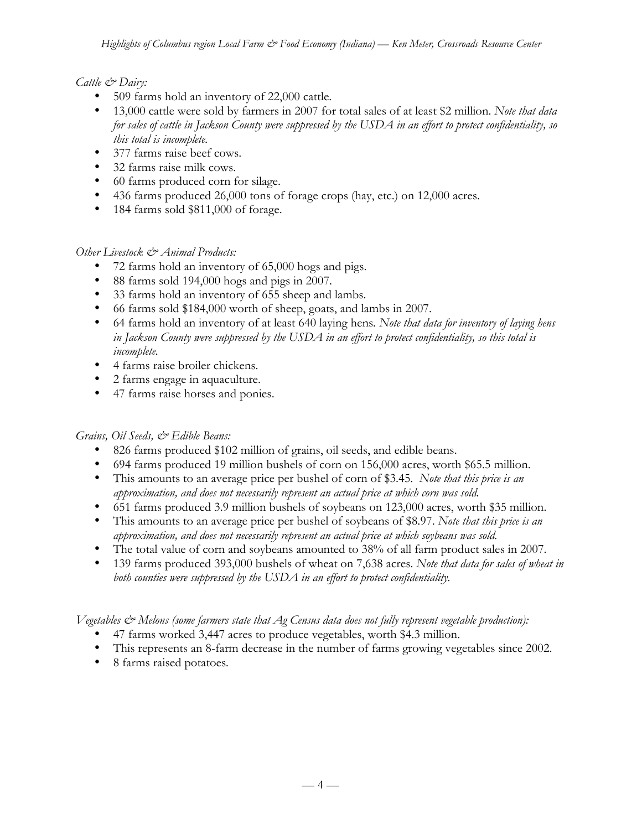### *Cattle & Dairy:*

- 509 farms hold an inventory of 22,000 cattle.
- 13,000 cattle were sold by farmers in 2007 for total sales of at least \$2 million. *Note that data for sales of cattle in Jackson County were suppressed by the USDA in an effort to protect confidentiality, so this total is incomplete.*
- 377 farms raise beef cows.
- 32 farms raise milk cows.
- 60 farms produced corn for silage.
- 436 farms produced 26,000 tons of forage crops (hay, etc.) on 12,000 acres.
- 184 farms sold \$811,000 of forage.

#### *Other Livestock & Animal Products:*

- 72 farms hold an inventory of 65,000 hogs and pigs.
- 88 farms sold 194,000 hogs and pigs in 2007.
- 33 farms hold an inventory of 655 sheep and lambs.
- 66 farms sold \$184,000 worth of sheep, goats, and lambs in 2007.
- 64 farms hold an inventory of at least 640 laying hens*. Note that data for inventory of laying hens in Jackson County were suppressed by the USDA in an effort to protect confidentiality, so this total is incomplete.*
- 4 farms raise broiler chickens.
- 2 farms engage in aquaculture.
- 47 farms raise horses and ponies.

## *Grains, Oil Seeds, & Edible Beans:*

- 826 farms produced \$102 million of grains, oil seeds, and edible beans.
- 694 farms produced 19 million bushels of corn on 156,000 acres, worth \$65.5 million.
- This amounts to an average price per bushel of corn of \$3.45. *Note that this price is an approximation, and does not necessarily represent an actual price at which corn was sold.*
- 651 farms produced 3.9 million bushels of soybeans on 123,000 acres, worth \$35 million.
- This amounts to an average price per bushel of soybeans of \$8.97. *Note that this price is an approximation, and does not necessarily represent an actual price at which soybeans was sold.*
- The total value of corn and soybeans amounted to 38% of all farm product sales in 2007.
- 139 farms produced 393,000 bushels of wheat on 7,638 acres. *Note that data for sales of wheat in both counties were suppressed by the USDA in an effort to protect confidentiality.*

*Vegetables & Melons (some farmers state that Ag Census data does not fully represent vegetable production):*

- 47 farms worked 3,447 acres to produce vegetables, worth \$4.3 million.
- This represents an 8-farm decrease in the number of farms growing vegetables since 2002.
- 8 farms raised potatoes*.*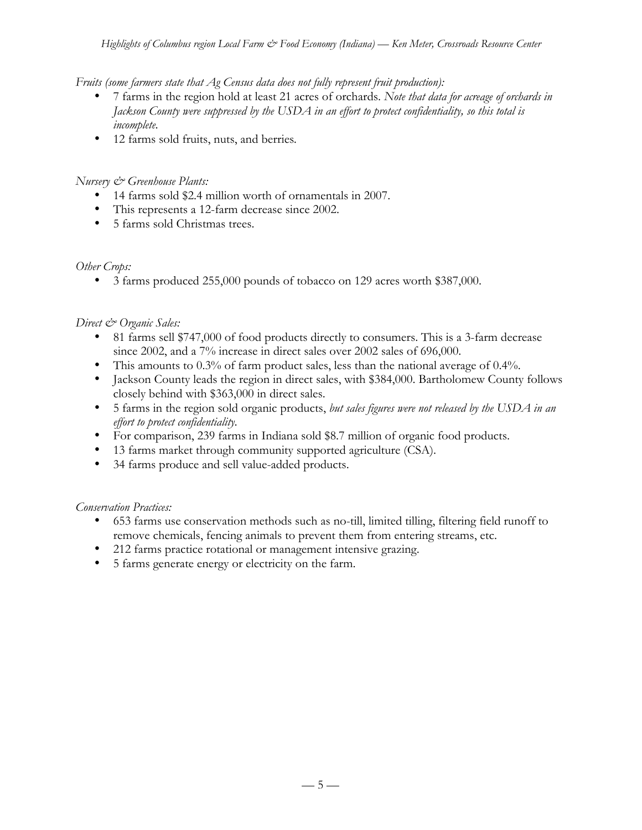*Fruits (some farmers state that Ag Census data does not fully represent fruit production):*

- 7 farms in the region hold at least 21 acres of orchards. *Note that data for acreage of orchards in Jackson County were suppressed by the USDA in an effort to protect confidentiality, so this total is incomplete.*
- 12 farms sold fruits, nuts, and berries*.*

### *Nursery & Greenhouse Plants:*

- 14 farms sold \$2.4 million worth of ornamentals in 2007.
- This represents a 12-farm decrease since 2002.
- 5 farms sold Christmas trees.

## *Other Crops:*

• 3 farms produced 255,000 pounds of tobacco on 129 acres worth \$387,000.

## *Direct & Organic Sales:*

- 81 farms sell \$747,000 of food products directly to consumers. This is a 3-farm decrease since 2002, and a 7% increase in direct sales over 2002 sales of 696,000.
- This amounts to 0.3% of farm product sales, less than the national average of 0.4%.
- Jackson County leads the region in direct sales, with \$384,000. Bartholomew County follows closely behind with \$363,000 in direct sales.
- 5 farms in the region sold organic products, *but sales figures were not released by the USDA in an effort to protect confidentiality.*
- For comparison, 239 farms in Indiana sold \$8.7 million of organic food products.
- 13 farms market through community supported agriculture (CSA).
- 34 farms produce and sell value-added products.

## *Conservation Practices:*

- 653 farms use conservation methods such as no-till, limited tilling, filtering field runoff to remove chemicals, fencing animals to prevent them from entering streams, etc.
- 212 farms practice rotational or management intensive grazing.
- 5 farms generate energy or electricity on the farm.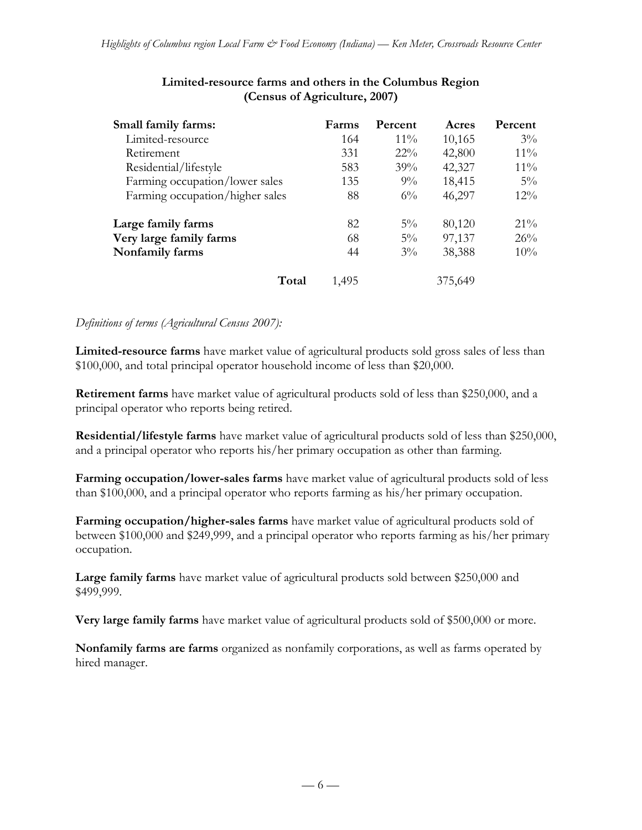| Small family farms:             | Farms | Percent | Acres   | Percent |
|---------------------------------|-------|---------|---------|---------|
| Limited-resource                | 164   | $11\%$  | 10,165  | $3\%$   |
| Retirement                      | 331   | $22\%$  | 42,800  | $11\%$  |
| Residential/lifestyle           | 583   | 39%     | 42,327  | $11\%$  |
| Farming occupation/lower sales  | 135   | $9\%$   | 18,415  | $5\%$   |
| Farming occupation/higher sales | 88    | $6\%$   | 46,297  | $12\%$  |
| Large family farms              | 82    | $5\%$   | 80,120  | $21\%$  |
| Very large family farms         | 68    | $5\%$   | 97,137  | 26%     |
| Nonfamily farms                 | 44    | $3\%$   | 38,388  | 10%     |
| Total                           | 1,495 |         | 375,649 |         |

## **Limited-resource farms and others in the Columbus Region (Census of Agriculture, 2007)**

#### *Definitions of terms (Agricultural Census 2007):*

**Limited-resource farms** have market value of agricultural products sold gross sales of less than \$100,000, and total principal operator household income of less than \$20,000.

**Retirement farms** have market value of agricultural products sold of less than \$250,000, and a principal operator who reports being retired.

**Residential/lifestyle farms** have market value of agricultural products sold of less than \$250,000, and a principal operator who reports his/her primary occupation as other than farming.

**Farming occupation/lower-sales farms** have market value of agricultural products sold of less than \$100,000, and a principal operator who reports farming as his/her primary occupation.

**Farming occupation/higher-sales farms** have market value of agricultural products sold of between \$100,000 and \$249,999, and a principal operator who reports farming as his/her primary occupation.

**Large family farms** have market value of agricultural products sold between \$250,000 and \$499,999.

**Very large family farms** have market value of agricultural products sold of \$500,000 or more.

**Nonfamily farms are farms** organized as nonfamily corporations, as well as farms operated by hired manager.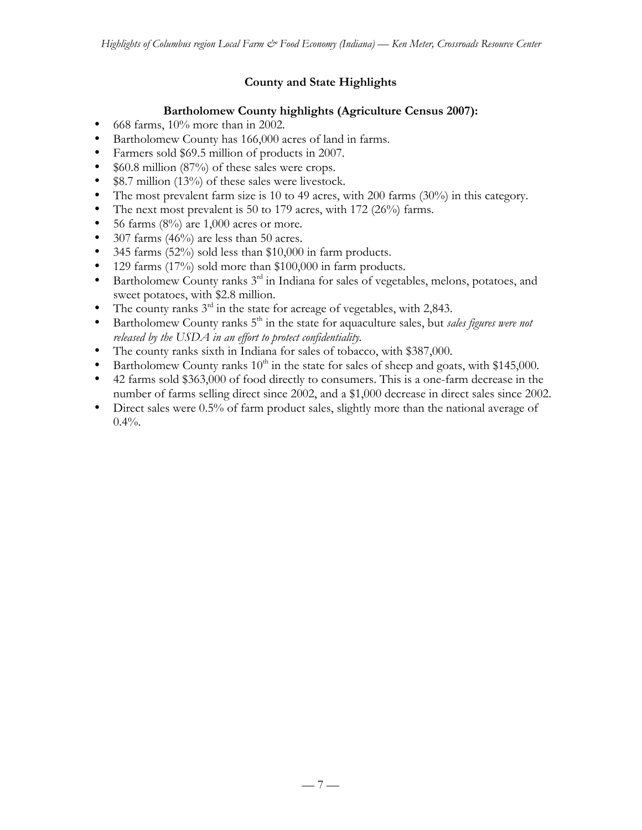# **County and State Highlights**

## **Bartholomew County highlights (Agriculture Census 2007):**

- 668 farms, 10% more than in 2002.
- Bartholomew County has 166,000 acres of land in farms.
- Farmers sold \$69.5 million of products in 2007.
- \$60.8 million (87%) of these sales were crops.
- \$8.7 million (13%) of these sales were livestock.
- The most prevalent farm size is 10 to 49 acres, with 200 farms (30%) in this category.
- The next most prevalent is 50 to 179 acres, with 172 (26%) farms.
- 56 farms  $(8\%)$  are 1,000 acres or more.
- 307 farms  $(46%)$  are less than 50 acres.
- 345 farms (52%) sold less than \$10,000 in farm products.
- 129 farms (17%) sold more than \$100,000 in farm products.
- Bartholomew County ranks  $3<sup>rd</sup>$  in Indiana for sales of vegetables, melons, potatoes, and sweet potatoes, with \$2.8 million.
- The county ranks  $3<sup>rd</sup>$  in the state for acreage of vegetables, with 2,843.
- Bartholomew County ranks 5<sup>th</sup> in the state for aquaculture sales, but *sales figures were not released by the USDA in an effort to protect confidentiality.*
- The county ranks sixth in Indiana for sales of tobacco, with \$387,000.
- Bartholomew County ranks  $10^{th}$  in the state for sales of sheep and goats, with \$145,000.
- 42 farms sold \$363,000 of food directly to consumers. This is a one-farm decrease in the number of farms selling direct since 2002, and a \$1,000 decrease in direct sales since 2002.
- Direct sales were 0.5% of farm product sales, slightly more than the national average of  $0.4\%$ .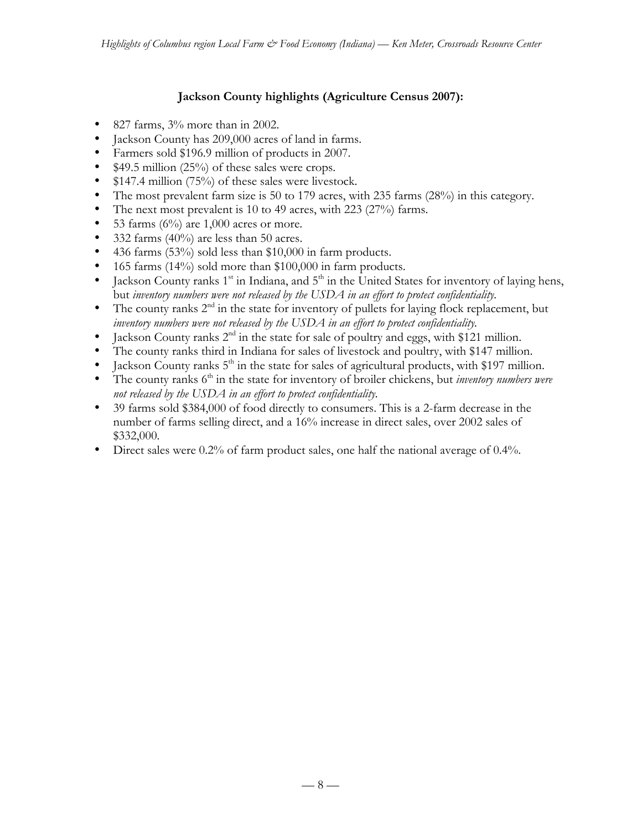# **Jackson County highlights (Agriculture Census 2007):**

- 827 farms, 3% more than in 2002.
- Jackson County has 209,000 acres of land in farms.
- Farmers sold \$196.9 million of products in 2007.
- \$49.5 million (25%) of these sales were crops.
- \$147.4 million (75%) of these sales were livestock.
- The most prevalent farm size is 50 to 179 acres, with 235 farms (28%) in this category.
- The next most prevalent is 10 to 49 acres, with 223 (27%) farms.
- 53 farms  $(6\%)$  are 1,000 acres or more.
- 332 farms  $(40\%)$  are less than 50 acres.
- 436 farms (53%) sold less than \$10,000 in farm products.
- 165 farms (14%) sold more than \$100,000 in farm products.
- Jackson County ranks  $1<sup>st</sup>$  in Indiana, and  $5<sup>th</sup>$  in the United States for inventory of laying hens, but *inventory numbers were not released by the USDA in an effort to protect confidentiality.*
- The county ranks  $2<sup>nd</sup>$  in the state for inventory of pullets for laying flock replacement, but *inventory numbers were not released by the USDA in an effort to protect confidentiality.*
- Jackson County ranks  $2<sup>nd</sup>$  in the state for sale of poultry and eggs, with \$121 million.
- The county ranks third in Indiana for sales of livestock and poultry, with \$147 million.
- Jackson County ranks  $5<sup>th</sup>$  in the state for sales of agricultural products, with \$197 million.
- The county ranks 6<sup>th</sup> in the state for inventory of broiler chickens, but *inventory numbers were not released by the USDA in an effort to protect confidentiality.*
- 39 farms sold \$384,000 of food directly to consumers. This is a 2-farm decrease in the number of farms selling direct, and a 16% increase in direct sales, over 2002 sales of \$332,000.
- Direct sales were 0.2% of farm product sales, one half the national average of 0.4%.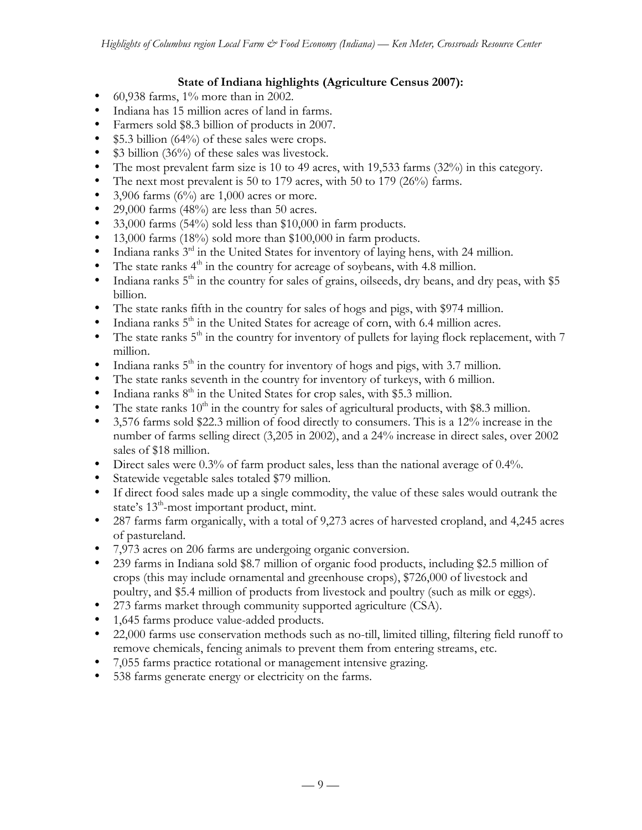### **State of Indiana highlights (Agriculture Census 2007):**

- 60,938 farms,  $1\%$  more than in 2002.
- Indiana has 15 million acres of land in farms.
- Farmers sold \$8.3 billion of products in 2007.
- $$5.3$  billion (64%) of these sales were crops.
- \$3 billion (36%) of these sales was livestock.
- The most prevalent farm size is 10 to 49 acres, with 19,533 farms (32%) in this category.
- The next most prevalent is 50 to 179 acres, with 50 to 179 (26%) farms.
- 3,906 farms  $(6\%)$  are 1,000 acres or more.
- 29,000 farms (48%) are less than 50 acres.
- 33,000 farms (54%) sold less than \$10,000 in farm products.
- 13,000 farms (18%) sold more than \$100,000 in farm products.
- Indiana ranks  $3<sup>rd</sup>$  in the United States for inventory of laying hens, with 24 million.
- The state ranks  $4<sup>th</sup>$  in the country for acreage of soybeans, with 4.8 million.
- Indiana ranks  $5<sup>th</sup>$  in the country for sales of grains, oilseeds, dry beans, and dry peas, with \$5 billion.
- The state ranks fifth in the country for sales of hogs and pigs, with \$974 million.
- Indiana ranks  $5<sup>th</sup>$  in the United States for acreage of corn, with 6.4 million acres.
- The state ranks  $5<sup>th</sup>$  in the country for inventory of pullets for laying flock replacement, with 7 million.
- Indiana ranks  $5<sup>th</sup>$  in the country for inventory of hogs and pigs, with 3.7 million.
- The state ranks seventh in the country for inventory of turkeys, with 6 million.
- Indiana ranks  $8<sup>th</sup>$  in the United States for crop sales, with \$5.3 million.
- The state ranks  $10<sup>th</sup>$  in the country for sales of agricultural products, with \$8.3 million.
- 3,576 farms sold \$22.3 million of food directly to consumers. This is a 12% increase in the number of farms selling direct (3,205 in 2002), and a 24% increase in direct sales, over 2002 sales of \$18 million.
- Direct sales were 0.3% of farm product sales, less than the national average of 0.4%.
- Statewide vegetable sales totaled \$79 million.
- If direct food sales made up a single commodity, the value of these sales would outrank the state's  $13^{\text{th}}$ -most important product, mint.
- 287 farms farm organically, with a total of 9,273 acres of harvested cropland, and 4,245 acres of pastureland.
- 7,973 acres on 206 farms are undergoing organic conversion.
- 239 farms in Indiana sold \$8.7 million of organic food products, including \$2.5 million of crops (this may include ornamental and greenhouse crops), \$726,000 of livestock and poultry, and \$5.4 million of products from livestock and poultry (such as milk or eggs).
- 273 farms market through community supported agriculture (CSA).
- 1,645 farms produce value-added products.
- 22,000 farms use conservation methods such as no-till, limited tilling, filtering field runoff to remove chemicals, fencing animals to prevent them from entering streams, etc.
- 7,055 farms practice rotational or management intensive grazing.
- 538 farms generate energy or electricity on the farms.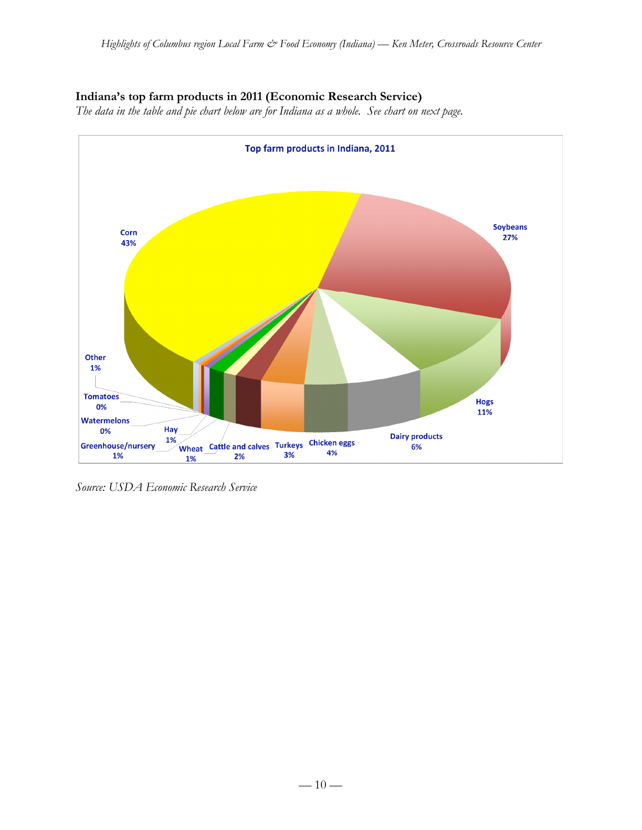## **Indiana's top farm products in 2011 (Economic Research Service)**

*The data in the table and pie chart below are for Indiana as a whole. See chart on next page.*



*Source: USDA Economic Research Service*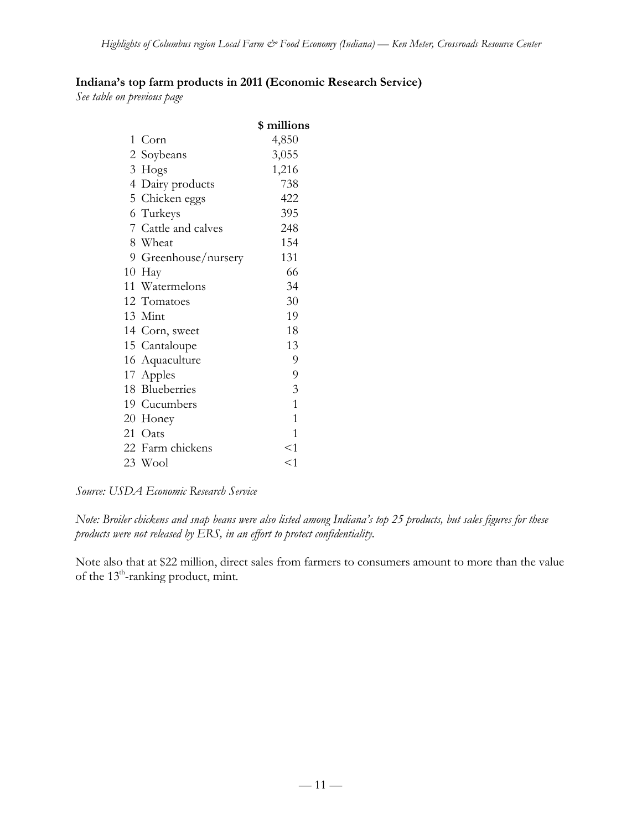# **Indiana's top farm products in 2011 (Economic Research Service)**

*See table on previous page*

|                      | \$ millions    |
|----------------------|----------------|
| 1 Corn               | 4,850          |
| 2 Soybeans           | 3,055          |
| 3 Hogs               | 1,216          |
| 4 Dairy products     | 738            |
| 5 Chicken eggs       | 422            |
| 6 Turkeys            | 395            |
| 7 Cattle and calves  | 248            |
| 8 Wheat              | 154            |
| 9 Greenhouse/nursery | 131            |
| 10 Hay               | 66             |
| 11 Watermelons       | 34             |
| 12 Tomatoes          | 30             |
| 13 Mint              | 19             |
| 14 Corn, sweet       | 18             |
| 15 Cantaloupe        | 13             |
| 16 Aquaculture       | 9              |
| 17 Apples            | $\overline{9}$ |
| 18 Blueberries       | $\mathfrak{Z}$ |
| 19 Cucumbers         | $\mathbf{1}$   |
| 20 Honey             | $\mathbf{1}$   |
| 21 Oats              | 1              |
| 22 Farm chickens     | <1             |
| 23 Wool              | $<$ 1          |

*Source: USDA Economic Research Service*

*Note: Broiler chickens and snap beans were also listed among Indiana's top 25 products, but sales figures for these products were not released by ERS, in an effort to protect confidentiality.*

Note also that at \$22 million, direct sales from farmers to consumers amount to more than the value of the  $13^{\text{th}}$ -ranking product, mint.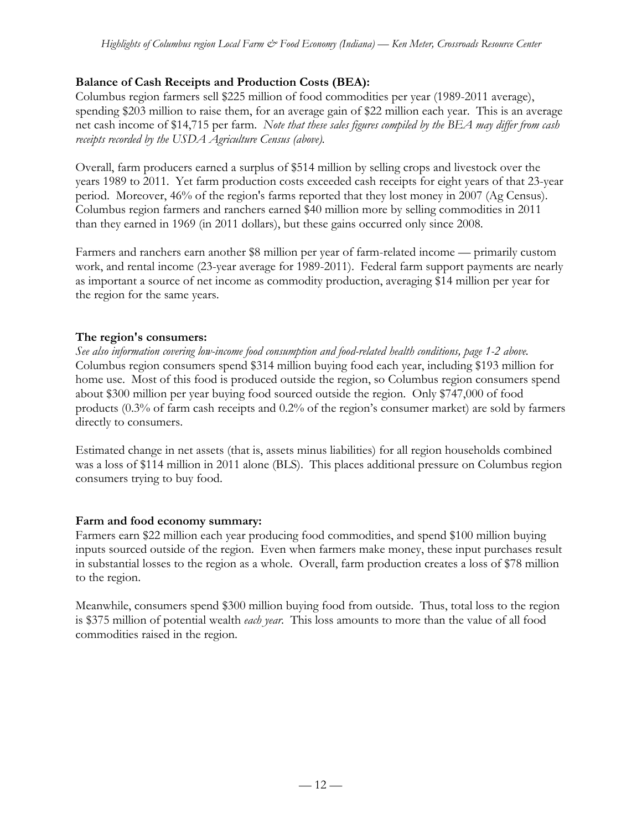## **Balance of Cash Receipts and Production Costs (BEA):**

Columbus region farmers sell \$225 million of food commodities per year (1989-2011 average), spending \$203 million to raise them, for an average gain of \$22 million each year. This is an average net cash income of \$14,715 per farm. *Note that these sales figures compiled by the BEA may differ from cash receipts recorded by the USDA Agriculture Census (above).*

Overall, farm producers earned a surplus of \$514 million by selling crops and livestock over the years 1989 to 2011. Yet farm production costs exceeded cash receipts for eight years of that 23-year period. Moreover, 46% of the region's farms reported that they lost money in 2007 (Ag Census). Columbus region farmers and ranchers earned \$40 million more by selling commodities in 2011 than they earned in 1969 (in 2011 dollars), but these gains occurred only since 2008.

Farmers and ranchers earn another \$8 million per year of farm-related income — primarily custom work, and rental income (23-year average for 1989-2011). Federal farm support payments are nearly as important a source of net income as commodity production, averaging \$14 million per year for the region for the same years.

## **The region's consumers:**

*See also information covering low-income food consumption and food-related health conditions, page 1-2 above.* Columbus region consumers spend \$314 million buying food each year, including \$193 million for home use. Most of this food is produced outside the region, so Columbus region consumers spend about \$300 million per year buying food sourced outside the region. Only \$747,000 of food products (0.3% of farm cash receipts and 0.2% of the region's consumer market) are sold by farmers directly to consumers.

Estimated change in net assets (that is, assets minus liabilities) for all region households combined was a loss of \$114 million in 2011 alone (BLS). This places additional pressure on Columbus region consumers trying to buy food.

## **Farm and food economy summary:**

Farmers earn \$22 million each year producing food commodities, and spend \$100 million buying inputs sourced outside of the region. Even when farmers make money, these input purchases result in substantial losses to the region as a whole. Overall, farm production creates a loss of \$78 million to the region.

Meanwhile, consumers spend \$300 million buying food from outside. Thus, total loss to the region is \$375 million of potential wealth *each year*. This loss amounts to more than the value of all food commodities raised in the region.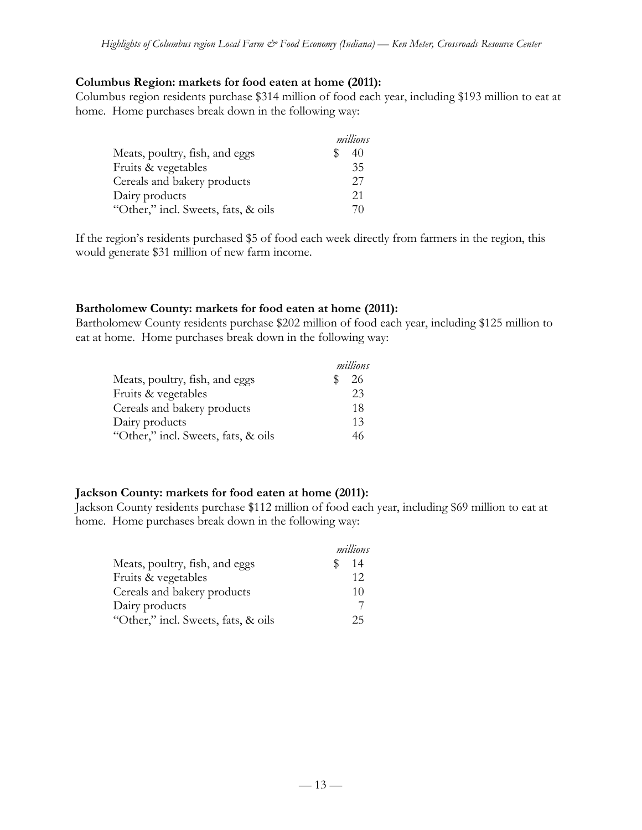#### **Columbus Region: markets for food eaten at home (2011):**

Columbus region residents purchase \$314 million of food each year, including \$193 million to eat at home. Home purchases break down in the following way:

|                                     | millions |  |
|-------------------------------------|----------|--|
| Meats, poultry, fish, and eggs      | 40       |  |
| Fruits & vegetables                 | 35       |  |
| Cereals and bakery products         | 27       |  |
| Dairy products                      | 21       |  |
| "Other," incl. Sweets, fats, & oils | 70       |  |

If the region's residents purchased \$5 of food each week directly from farmers in the region, this would generate \$31 million of new farm income.

#### **Bartholomew County: markets for food eaten at home (2011):**

Bartholomew County residents purchase \$202 million of food each year, including \$125 million to eat at home. Home purchases break down in the following way:

|                                     | millions |
|-------------------------------------|----------|
| Meats, poultry, fish, and eggs      | 26       |
| Fruits & vegetables                 | 23       |
| Cereals and bakery products         | 18       |
| Dairy products                      | 13       |
| "Other," incl. Sweets, fats, & oils | 46       |

#### **Jackson County: markets for food eaten at home (2011):**

Jackson County residents purchase \$112 million of food each year, including \$69 million to eat at home. Home purchases break down in the following way:

|                                     | millions |
|-------------------------------------|----------|
| Meats, poultry, fish, and eggs      | 14       |
| Fruits & vegetables                 | 12       |
| Cereals and bakery products         | 10       |
| Dairy products                      |          |
| "Other," incl. Sweets, fats, & oils | 25.      |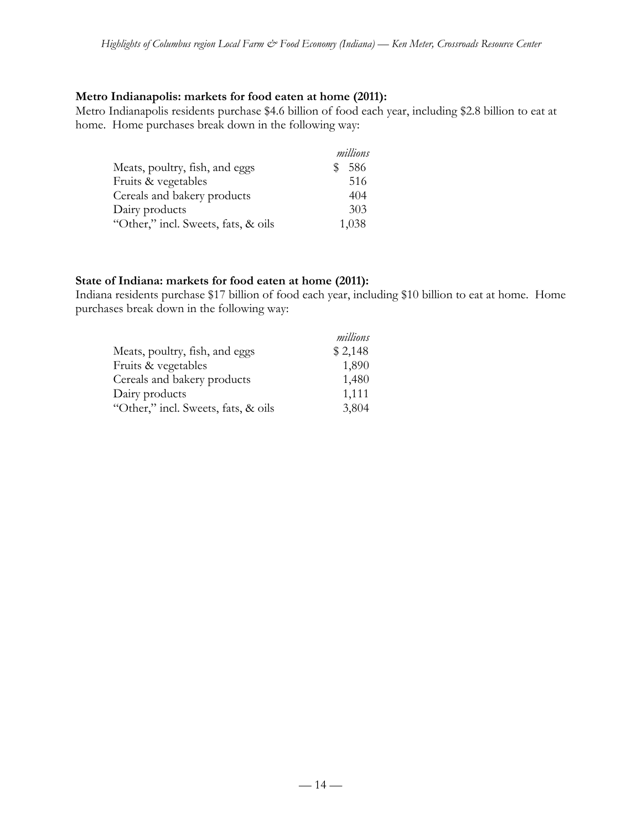### **Metro Indianapolis: markets for food eaten at home (2011):**

Metro Indianapolis residents purchase \$4.6 billion of food each year, including \$2.8 billion to eat at home. Home purchases break down in the following way:

|                                     | millions |
|-------------------------------------|----------|
| Meats, poultry, fish, and eggs      | 586<br>S |
| Fruits & vegetables                 | 516      |
| Cereals and bakery products         | 404      |
| Dairy products                      | 303      |
| "Other," incl. Sweets, fats, & oils | 1,038    |

#### **State of Indiana: markets for food eaten at home (2011):**

Indiana residents purchase \$17 billion of food each year, including \$10 billion to eat at home. Home purchases break down in the following way:

|                                     | millions |
|-------------------------------------|----------|
| Meats, poultry, fish, and eggs      | \$2,148  |
| Fruits & vegetables                 | 1,890    |
| Cereals and bakery products         | 1,480    |
| Dairy products                      | 1,111    |
| "Other," incl. Sweets, fats, & oils | 3,804    |